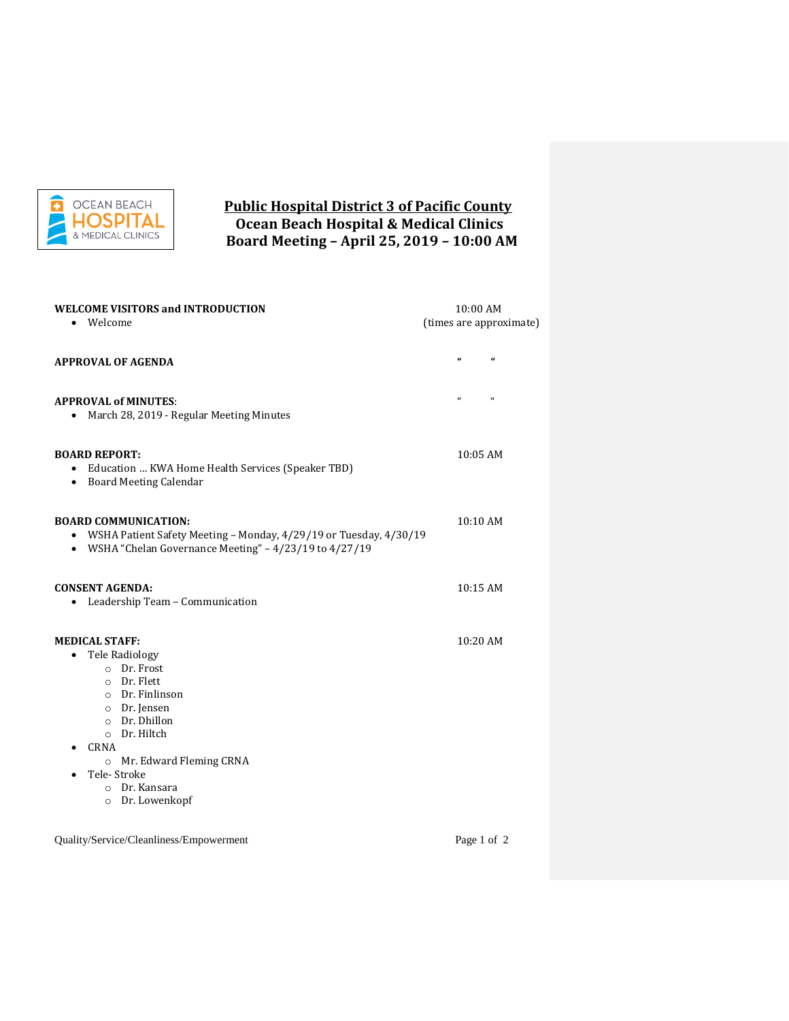

## **Public Hospital District 3 of Pacific County Ocean Beach Hospital & Medical Clinics Board Meeting – April 25, 2019 – 10:00 AM**

| <b>WELCOME VISITORS and INTRODUCTION</b>                                                                                                                                                                                                          | 10:00 AM                       |  |
|---------------------------------------------------------------------------------------------------------------------------------------------------------------------------------------------------------------------------------------------------|--------------------------------|--|
| Welcome                                                                                                                                                                                                                                           | (times are approximate)        |  |
| <b>APPROVAL OF AGENDA</b>                                                                                                                                                                                                                         | a<br>$\pmb{\epsilon}$          |  |
| <b>APPROVAL of MINUTES:</b><br>• March 28, 2019 - Regular Meeting Minutes                                                                                                                                                                         | $\mathbf{u}$<br>$\mathfrak{a}$ |  |
| <b>BOARD REPORT:</b><br>• Education  KWA Home Health Services (Speaker TBD)<br>• Board Meeting Calendar                                                                                                                                           | 10:05 AM                       |  |
| <b>BOARD COMMUNICATION:</b><br>WSHA Patient Safety Meeting - Monday, 4/29/19 or Tuesday, 4/30/19<br>$\bullet$<br>• WSHA "Chelan Governance Meeting" - $4/23/19$ to $4/27/19$                                                                      | $10:10$ AM                     |  |
| <b>CONSENT AGENDA:</b><br>• Leadership Team - Communication                                                                                                                                                                                       | 10:15 AM                       |  |
| <b>MEDICAL STAFF:</b><br>• Tele Radiology<br>$O$ Dr. Frost<br>$\circ$ Dr. Flett<br>$\circ$ Dr. Finlinson<br>o Dr. Jensen<br>o Dr. Dhillon<br>o Dr. Hiltch<br>CRNA<br>o Mr. Edward Fleming CRNA<br>Tele-Stroke<br>o Dr. Kansara<br>o Dr. Lowenkopf | 10:20 AM                       |  |
| Quality/Service/Cleanliness/Empowerment                                                                                                                                                                                                           | Page 1 of 2                    |  |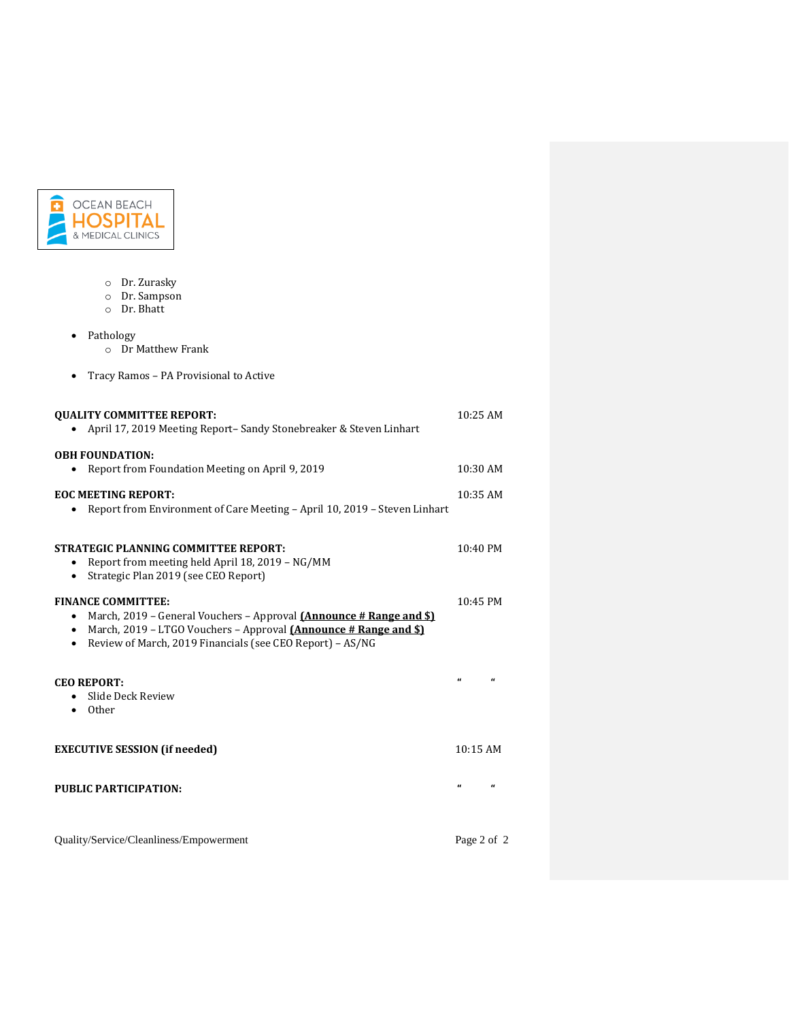

- o Dr. Zurasky
- o Dr. Sampson
- o Dr. Bhatt

• Pathology

- o Dr Matthew Frank
- Tracy Ramos PA Provisional to Active

| <b>OUALITY COMMITTEE REPORT:</b><br>April 17, 2019 Meeting Report- Sandy Stonebreaker & Steven Linhart                                                                                                                                                                    | 10:25 AM    |            |
|---------------------------------------------------------------------------------------------------------------------------------------------------------------------------------------------------------------------------------------------------------------------------|-------------|------------|
| <b>OBH FOUNDATION:</b><br>Report from Foundation Meeting on April 9, 2019<br>٠                                                                                                                                                                                            | $10:30$ AM  |            |
| <b>EOC MEETING REPORT:</b><br>Report from Environment of Care Meeting - April 10, 2019 - Steven Linhart                                                                                                                                                                   | 10:35 AM    |            |
| <b>STRATEGIC PLANNING COMMITTEE REPORT:</b><br>Report from meeting held April 18, 2019 – NG/MM<br>Strategic Plan 2019 (see CEO Report)<br>٠                                                                                                                               | 10:40 PM    |            |
| <b>FINANCE COMMITTEE:</b><br>March, 2019 - General Vouchers - Approval <i>[Announce # Range and \$]</i><br>March, 2019 - LTGO Vouchers - Approval <i>[Announce # Range and \$]</i><br>$\bullet$<br>Review of March, 2019 Financials (see CEO Report) - AS/NG<br>$\bullet$ | 10:45 PM    |            |
| <b>CEO REPORT:</b><br>Slide Deck Review<br>Other<br>٠                                                                                                                                                                                                                     | $\epsilon$  |            |
| <b>EXECUTIVE SESSION (if needed)</b>                                                                                                                                                                                                                                      | 10:15AM     |            |
| PUBLIC PARTICIPATION:                                                                                                                                                                                                                                                     | $\epsilon$  | $\epsilon$ |
| Quality/Service/Cleanliness/Empowerment                                                                                                                                                                                                                                   | Page 2 of 2 |            |